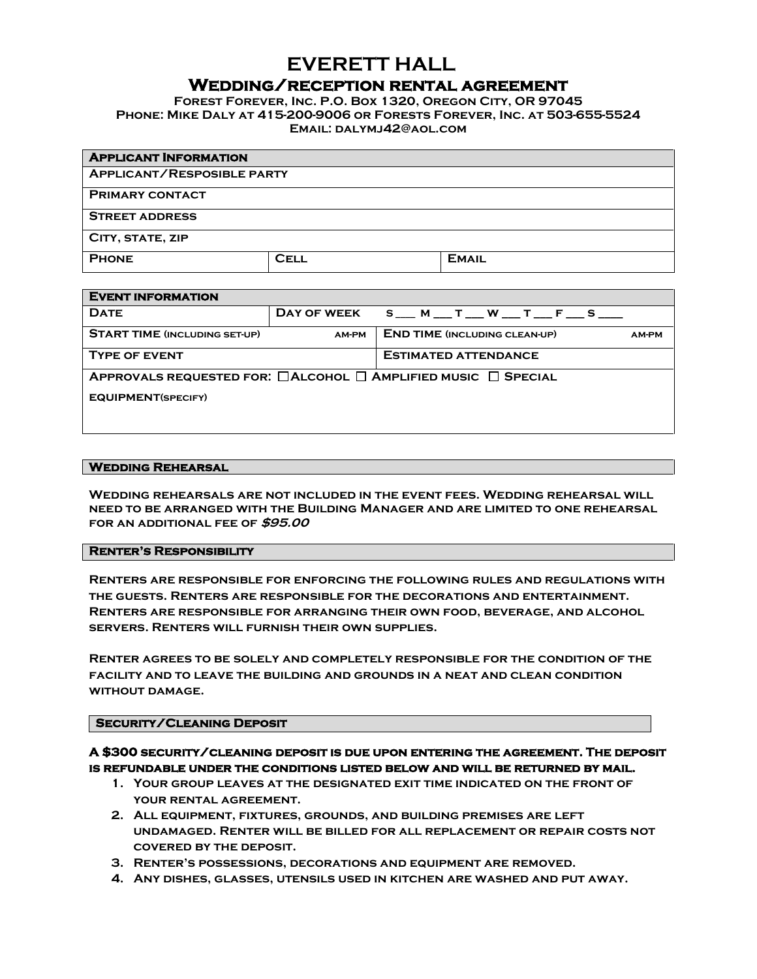# **EVERETT HALL** WEDDING/RECEPTION RENTAL AGREEMENT<br>FOREST FOREVER, INC. P.O. BOX 1320, OREGON CITY, OR 97045

**Phone: Mike Daly at 415-200-9006 or Forests Forever, Inc. at 503-655-5524 Email: [dalymj42@aol.com](mailto:dalymj42@aol.com)**

| <b>APPLICANT INFORMATION</b>      |             |              |  |  |
|-----------------------------------|-------------|--------------|--|--|
| <b>APPLICANT/RESPOSIBLE PARTY</b> |             |              |  |  |
| <b>PRIMARY CONTACT</b>            |             |              |  |  |
| <b>STREET ADDRESS</b>             |             |              |  |  |
| CITY, STATE, ZIP                  |             |              |  |  |
| <b>PHONE</b>                      | <b>CELL</b> | <b>EMAIL</b> |  |  |

| <b>EVENT INFORMATION</b>             |       |                                                                               |  |  |
|--------------------------------------|-------|-------------------------------------------------------------------------------|--|--|
| <b>DATE</b>                          |       | DAY OF WEEK $S_{}M_{}T_{}W_{}T_{}F_{}S_{}$                                    |  |  |
| <b>START TIME (INCLUDING SET-UP)</b> | AM-PM | <b>END TIME (INCLUDING CLEAN-UP)</b><br><b>AM-PM</b>                          |  |  |
| <b>TYPE OF EVENT</b>                 |       | <b>ESTIMATED ATTENDANCE</b>                                                   |  |  |
|                                      |       | APPROVALS REQUESTED FOR: $\Box$ ALCOHOL $\Box$ AMPLIFIED MUSIC $\Box$ SPECIAL |  |  |
| <b>EQUIPMENT(SPECIFY)</b>            |       |                                                                               |  |  |
|                                      |       |                                                                               |  |  |

#### **Wedding Rehearsal**

**Wedding rehearsals are not included in the event fees. Wedding rehearsal will need to be arranged with the Building Manager and are limited to one rehearsal for an additional fee of \$95.00**

## **Renter's Responsibility**

**Renters are responsible for enforcing the following rules and regulations with the guests. Renters are responsible for the decorations and entertainment. Renters are responsible for arranging their own food, beverage, and alcohol servers. Renters will furnish their own supplies.** 

**Renter agrees to be solely and completely responsible for the condition of the facility and to leave the building and grounds in a neat and clean condition without damage.**

# **Security/Cleaning Deposit**

**A \$300 security/cleaning deposit is due upon entering the agreement. The deposit is refundable under the conditions listed below and will be returned by mail.** 

- **1. Your group leaves at the designated exit time indicated on the front of your rental agreement.**
- **2. All equipment, fixtures, grounds, and building premises are left undamaged. Renter will be billed for all replacement or repair costs not covered by the deposit.**
- **3. Renter's possessions, decorations and equipment are removed.**
- **4. Any dishes, glasses, utensils used in kitchen are washed and put away.**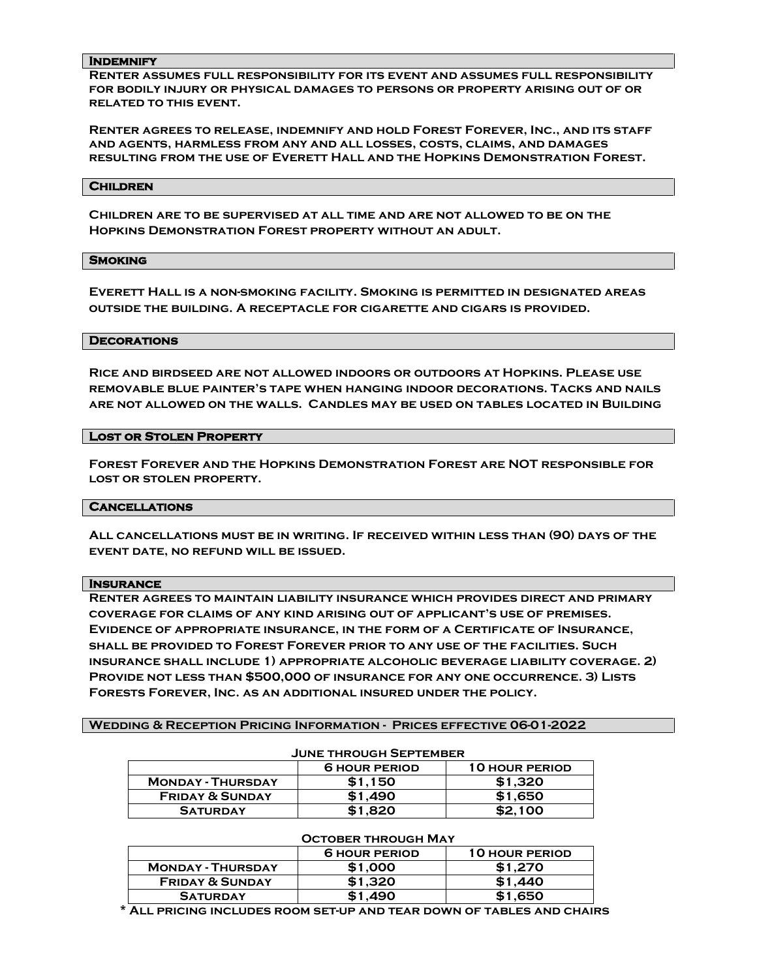#### **Indemnify**

**Renter assumes full responsibility for its event and assumes full responsibility for bodily injury or physical damages to persons or property arising out of or related to this event.**

**Renter agrees to release, indemnify and hold Forest Forever, Inc., and its staff and agents, harmless from any and all losses, costs, claims, and damages resulting from the use of Everett Hall and the Hopkins Demonstration Forest.**

#### **Children**

**Children are to be supervised at all time and are not allowed to be on the Hopkins Demonstration Forest property without an adult.**

#### **Smoking**

**Everett Hall is a non-smoking facility. Smoking is permitted in designated areas outside the building. A receptacle for cigarette and cigars is provided.**

#### **Decorations**

**Rice and birdseed are not allowed indoors or outdoors at Hopkins. Please use removable blue painter's tape when hanging indoor decorations. Tacks and nails are not allowed on the walls. Candles may be used on tables located in Building** 

#### **Lost or Stolen Property**

**Forest Forever and the Hopkins Demonstration Forest are NOT responsible for lost or stolen property.**

### **Cancellations**

**All cancellations must be in writing. If received within less than (90) days of the event date, no refund will be issued.**

#### **Insurance**

**Renter agrees to maintain liability insurance which provides direct and primary coverage for claims of any kind arising out of applicant's use of premises. Evidence of appropriate insurance, in the form of a Certificate of Insurance, shall be provided to Forest Forever prior to any use of the facilities. Such insurance shall include 1) appropriate alcoholic beverage liability coverage. 2) Provide not less than \$500,000 of insurance for any one occurrence. 3) Lists Forests Forever, Inc. as an additional insured under the policy.**

**Wedding & Reception Pricing Information - Prices effective 06-01-2022** 

#### **June through September**

|                            | <b>6 HOUR PERIOD</b> | <b>10 HOUR PERIOD</b> |  |  |
|----------------------------|----------------------|-----------------------|--|--|
| <b>MONDAY - THURSDAY</b>   | \$1,150              | \$1.320               |  |  |
| <b>FRIDAY &amp; SUNDAY</b> | \$1,490              | \$1,650               |  |  |
| <b>SATURDAY</b>            | \$1,820              | \$2,100               |  |  |

#### **October through May**

|                            | <b>6 HOUR PERIOD</b> | <b>10 HOUR PERIOD</b> |  |  |
|----------------------------|----------------------|-----------------------|--|--|
| <b>MONDAY - THURSDAY</b>   | \$1,000              | \$1.270               |  |  |
| <b>FRIDAY &amp; SUNDAY</b> | \$1.320              | \$1.440               |  |  |
| <b>SATURDAY</b>            | \$1,490              | \$1,650               |  |  |

 **\* All pricing includes room set-up and tear down of tables and chairs**